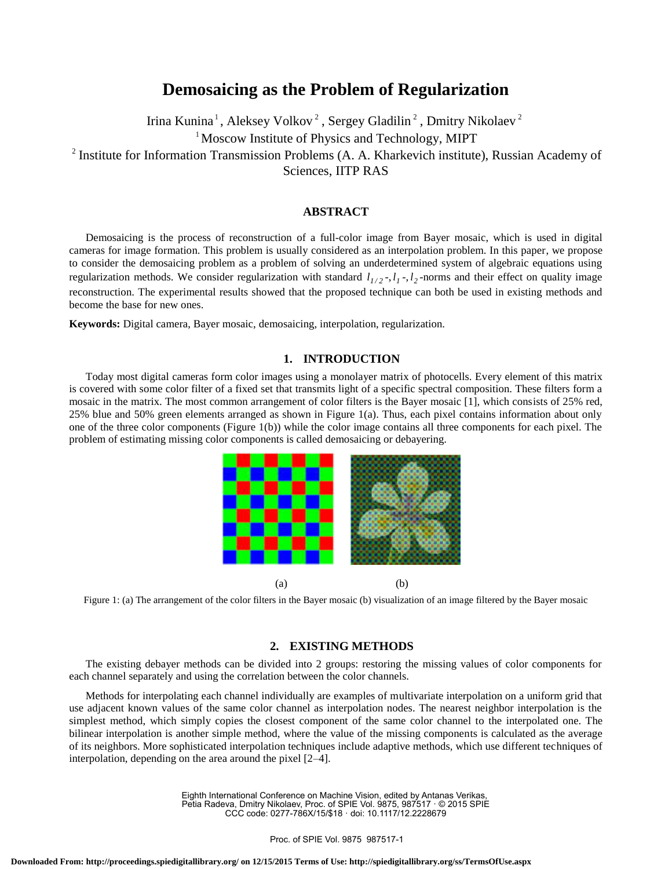# **Demosaicing as the Problem of Regularization**

Irina Kunina<sup>1</sup>, Aleksey Volkov<sup>2</sup>, Sergey Gladilin<sup>2</sup>, Dmitry Nikolaev<sup>2</sup> <sup>1</sup> Moscow Institute of Physics and Technology, MIPT <sup>2</sup> Institute for Information Transmission Problems (A. A. Kharkevich institute), Russian Academy of Sciences, IITP RAS

# **ABSTRACT**

Demosaicing is the process of reconstruction of a full-color image from Bayer mosaic, which is used in digital cameras for image formation. This problem is usually considered as an interpolation problem. In this paper, we propose to consider the demosaicing problem as a problem of solving an underdetermined system of algebraic equations using regularization methods. We consider regularization with standard  $l_{1/2}$ ,  $l_1$ ,  $l_2$ -norms and their effect on quality image reconstruction. The experimental results showed that the proposed technique can both be used in existing methods and become the base for new ones.

**Keywords:** Digital camera, Bayer mosaic, demosaicing, interpolation, regularization.

# **1. INTRODUCTION**

Today most digital cameras form color images using a monolayer matrix of photocells. Every element of this matrix is covered with some color filter of a fixed set that transmits light of a specific spectral composition. These filters form a mosaic in the matrix. The most common arrangement of color filters is the Bayer mosaic [1], which consists of 25% red, 25% blue and 50% green elements arranged as shown in Figure 1(a). Thus, each pixel contains information about only one of the three color components (Figure 1(b)) while the color image contains all three components for each pixel. The problem of estimating missing color components is called demosaicing or debayering.



Figure 1: (a) The arrangement of the color filters in the Bayer mosaic (b) visualization of an image filtered by the Bayer mosaic

## **2. EXISTING METHODS**

The existing debayer methods can be divided into 2 groups: restoring the missing values of color components for each channel separately and using the correlation between the color channels.

Methods for interpolating each channel individually are examples of multivariate interpolation on a uniform grid that use adjacent known values of the same color channel as interpolation nodes. The nearest neighbor interpolation is the simplest method, which simply copies the closest component of the same color channel to the interpolated one. The bilinear interpolation is another simple method, where the value of the missing components is calculated as the average of its neighbors. More sophisticated interpolation techniques include adaptive methods, which use different techniques of interpolation, depending on the area around the pixel [2–4].

> Eighth International Conference on Machine Vision, edited by Antanas Verikas, Petia Radeva, Dmitry Nikolaev, Proc. of SPIE Vol. 9875, 987517 · © 2015 SPIE CCC code: 0277-786X/15/\$18 · doi: 10.1117/12.2228679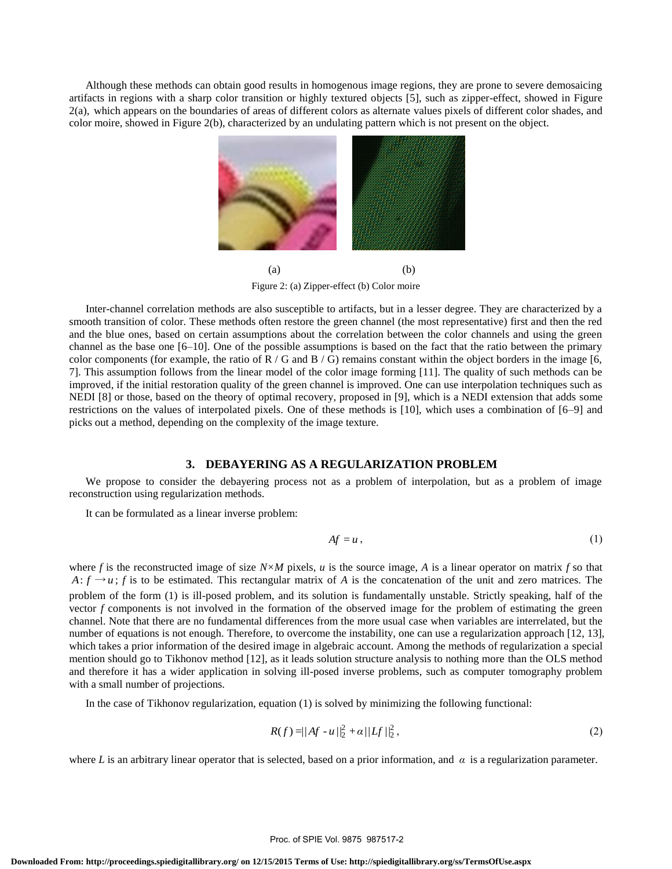Although these methods can obtain good results in homogenous image regions, they are prone to severe demosaicing artifacts in regions with a sharp color transition or highly textured objects [5], such as zipper-effect, showed in Figure 2(a), which appears on the boundaries of areas of different colors as alternate values pixels of different color shades, and color moire, showed in Figure 2(b), characterized by an undulating pattern which is not present on the object.



Figure 2: (a) Zipper-effect (b) Color moire

Inter-channel correlation methods are also susceptible to artifacts, but in a lesser degree. They are characterized by a smooth transition of color. These methods often restore the green channel (the most representative) first and then the red and the blue ones, based on certain assumptions about the correlation between the color channels and using the green channel as the base one [6–10]. One of the possible assumptions is based on the fact that the ratio between the primary color components (for example, the ratio of  $R / G$  and  $B / G$ ) remains constant within the object borders in the image [6, 7]. This assumption follows from the linear model of the color image forming [11]. The quality of such methods can be improved, if the initial restoration quality of the green channel is improved. One can use interpolation techniques such as NEDI [8] or those, based on the theory of optimal recovery, proposed in [9], which is a NEDI extension that adds some restrictions on the values of interpolated pixels. One of these methods is [10], which uses a combination of [6–9] and picks out a method, depending on the complexity of the image texture.

## **3. DEBAYERING AS A REGULARIZATION PROBLEM**

We propose to consider the debayering process not as a problem of interpolation, but as a problem of image reconstruction using regularization methods.

It can be formulated as a linear inverse problem:

$$
Af = u \,, \tag{1}
$$

where *f* is the reconstructed image of size  $N \times M$  pixels, *u* is the source image, *A* is a linear operator on matrix *f* so that  $A: f \rightarrow u$ ; *f* is to be estimated. This rectangular matrix of *A* is the concatenation of the unit and zero matrices. The problem of the form (1) is ill-posed problem, and its solution is fundamentally unstable. Strictly speaking, half of the vector *f* components is not involved in the formation of the observed image for the problem of estimating the green channel. Note that there are no fundamental differences from the more usual case when variables are interrelated, but the number of equations is not enough. Therefore, to overcome the instability, one can use a regularization approach [12, 13], which takes a prior information of the desired image in algebraic account. Among the methods of regularization a special mention should go to Tikhonov method [12], as it leads solution structure analysis to nothing more than the OLS method and therefore it has a wider application in solving ill-posed inverse problems, such as computer tomography problem with a small number of projections.

In the case of Tikhonov regularization, equation (1) is solved by minimizing the following functional:

$$
R(f) = ||Af - u||_2^2 + \alpha ||Lf||_2^2,
$$
\n(2)

where L is an arbitrary linear operator that is selected, based on a prior information, and  $\alpha$  is a regularization parameter.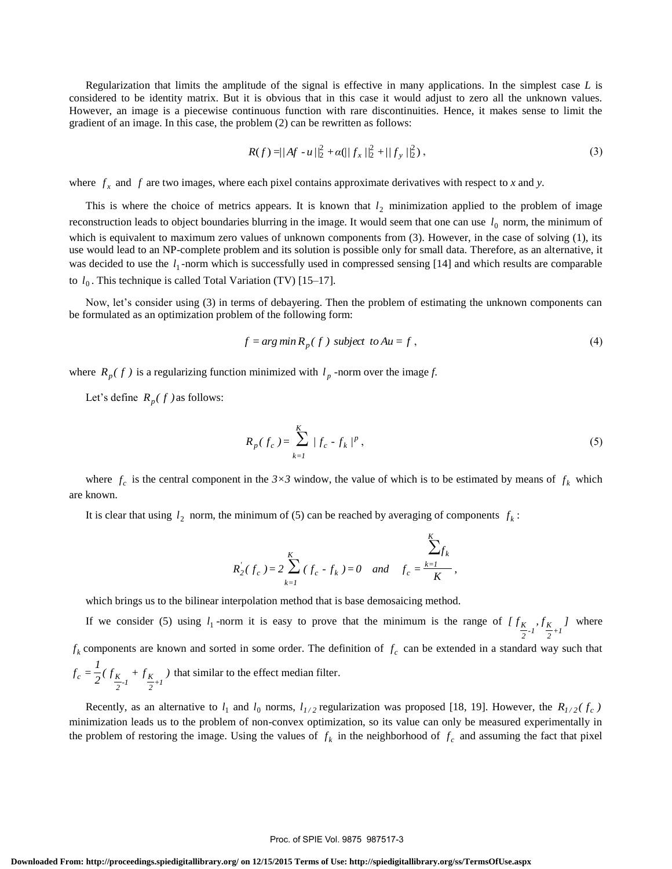Regularization that limits the amplitude of the signal is effective in many applications. In the simplest case *L* is considered to be identity matrix. But it is obvious that in this case it would adjust to zero all the unknown values. However, an image is a piecewise continuous function with rare discontinuities. Hence, it makes sense to limit the gradient of an image. In this case, the problem (2) can be rewritten as follows:

$$
R(f) = ||Af - u||_2^2 + \alpha(||f_x||_2^2 + ||f_y||_2^2),
$$
\n(3)

where  $f_x$  and  $f$  are two images, where each pixel contains approximate derivatives with respect to  $x$  and  $y$ .

This is where the choice of metrics appears. It is known that  $l_2$  minimization applied to the problem of image reconstruction leads to object boundaries blurring in the image. It would seem that one can use  $l_0$  norm, the minimum of which is equivalent to maximum zero values of unknown components from (3). However, in the case of solving (1), its use would lead to an NP-complete problem and its solution is possible only for small data. Therefore, as an alternative, it was decided to use the  $l_1$ -norm which is successfully used in compressed sensing [14] and which results are comparable to  $l_0$ . This technique is called Total Variation (TV) [15–17].

Now, let's consider using (3) in terms of debayering. Then the problem of estimating the unknown components can be formulated as an optimization problem of the following form:

$$
f = arg min Rp(f) subject to Au = f,
$$
\n(4)

where  $R_p(f)$  is a regularizing function minimized with  $l_p$  -norm over the image *f*.

Let's define  $R_p(f)$  as follows:

$$
R_p(f_c) = \sum_{k=1}^{K} |f_c - f_k|^p,
$$
\n(5)

where  $f_c$  is the central component in the  $3\times3$  window, the value of which is to be estimated by means of  $f_k$  which are known.

It is clear that using  $l_2$  norm, the minimum of (5) can be reached by averaging of components  $f_k$ :

$$
R_{2}^{'}(f_{c}) = 2 \sum_{k=1}^{K} (f_{c} - f_{k}) = 0 \text{ and } f_{c} = \frac{\sum_{k=1}^{K} f_{k}}{K},
$$

which brings us to the bilinear interpolation method that is base demosaicing method.

If we consider (5) using  $l_1$ -norm it is easy to prove that the minimum is the range of  $\left[ f_{\frac{K}{2},l}, f_{\frac{K}{2}+l} \right]$  $\frac{K}{2}$ -1<sup>'</sup>  $\frac{K}{2}$  $\frac{K}{2}$ ,  $f_{\frac{K}{2}+1}$  where  $f_k$  components are known and sorted in some order. The definition of  $f_c$  can be extended in a standard way such that  $\frac{1}{2} (f_{\frac{K}{2} - l} + f_{\frac{K}{2} + l})$  $f_c = \frac{1}{2} (f_{\frac{K}{2}l} + f_{\frac{K}{2}l})$  $\frac{K}{2}$ -1<sup>+</sup> $\frac{K}{2}$  $\int_{c}^{b} = \frac{1}{2} (f_{K} + f_{K} + f_{K} + f_{K} + f_{K} + f_{K}$  that similar to the effect median filter.

Recently, as an alternative to  $l_1$  and  $l_0$  norms,  $l_{1/2}$  regularization was proposed [18, 19]. However, the  $R_{1/2}(f_c)$ minimization leads us to the problem of non-convex optimization, so its value can only be measured experimentally in the problem of restoring the image. Using the values of  $f_k$  in the neighborhood of  $f_c$  and assuming the fact that pixel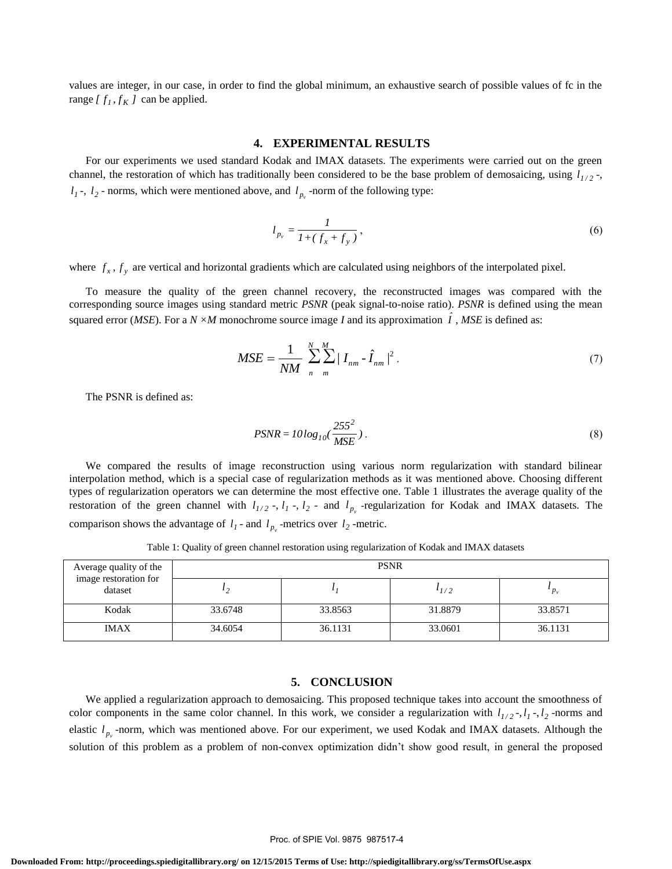values are integer, in our case, in order to find the global minimum, an exhaustive search of possible values of fc in the range  $[f_1, f_K]$  can be applied.

### **4. EXPERIMENTAL RESULTS**

For our experiments we used standard Kodak and IMAX datasets. The experiments were carried out on the green channel, the restoration of which has traditionally been considered to be the base problem of demosaicing, using  $l_{1/2}$ ,  $l_1$ ,  $l_2$  - norms, which were mentioned above, and  $l_{p_v}$  -norm of the following type:

$$
l_{p_v} = \frac{1}{1 + (f_x + f_y)},
$$
\n(6)

where  $f_x$ ,  $f_y$  are vertical and horizontal gradients which are calculated using neighbors of the interpolated pixel.

To measure the quality of the green channel recovery, the reconstructed images was compared with the corresponding source images using standard metric *PSNR* (peak signal-to-noise ratio). *PSNR* is defined using the mean squared error (*MSE*). For a *N*  $\times$ *M* monochrome source image *I* and its approximation  $\hat{I}$ , *MSE* is defined as:

$$
MSE = \frac{1}{NM} \sum_{n=1}^{N} \sum_{m=1}^{M} |I_{nm} - \hat{I}_{nm}|^2.
$$
 (7)

The PSNR is defined as:

$$
PSNR = 10\log_{10}(\frac{255^2}{MSE})\,. \tag{8}
$$

We compared the results of image reconstruction using various norm regularization with standard bilinear interpolation method, which is a special case of regularization methods as it was mentioned above. Choosing different types of regularization operators we can determine the most effective one. Table 1 illustrates the average quality of the restoration of the green channel with  $l_{1/2}$  -,  $l_1$  -,  $l_2$  - and  $l_{p_y}$  -regularization for Kodak and IMAX datasets. The comparison shows the advantage of  $l_1$  - and  $l_{p_y}$  -metrics over  $l_2$  -metric.

Table 1: Quality of green channel restoration using regularization of Kodak and IMAX datasets

| Average quality of the<br>image restoration for<br>dataset | <b>PSNR</b> |         |               |         |
|------------------------------------------------------------|-------------|---------|---------------|---------|
|                                                            |             |         | $\iota_{1/2}$ | $P_v$   |
| Kodak                                                      | 33.6748     | 33.8563 | 31.8879       | 33.8571 |
| <b>IMAX</b>                                                | 34.6054     | 36.1131 | 33.0601       | 36.1131 |

#### **5. CONCLUSION**

We applied a regularization approach to demosaicing. This proposed technique takes into account the smoothness of color components in the same color channel. In this work, we consider a regularization with  $l_{1/2}$ ,  $l_1$ ,  $l_2$ , -norms and elastic  $l_{p_v}$ -norm, which was mentioned above. For our experiment, we used Kodak and IMAX datasets. Although the solution of this problem as a problem of non-convex optimization didn't show good result, in general the proposed